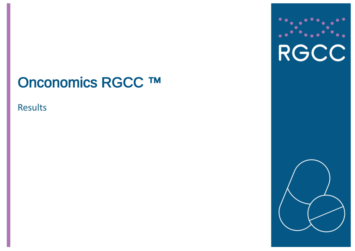# Onconomics RGCC ™

# **Results**



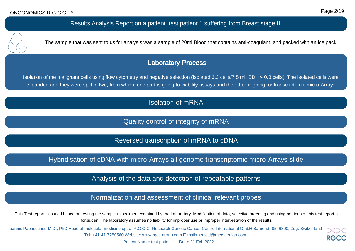Results Analysis Report on a patient test patient 1 suffering from Breast stage II.

The sample that was sent to us for analysis was a sample of 20ml Blood that contains anti-coagulant, and packed with an ice pack.

## Laboratory Process

Isolation of the malignant cells using flow cytometry and negative selection (isolated 3.3 cells/7.5 ml, SD +/- 0.3 cells). The isolated cells were expanded and they were split in two, from which, one part is going to viability assays and the other is going for transcriptomic micro-Arrays

# Isolation of mRNA

Quality control of integrity of mRNA

Reversed transcription of mRNA to cDNA

Hybridisation of cDNA with micro-Arrays all genome transcriptomic micro-Arrays slide

Analysis of the data and detection of repeatable patterns

Normalization and assessment of clinical relevant probes

This Test report is issued based on testing the sample / specimen examined by the Laboratory. Modification of data, selective breeding and using portions of this test report is forbidden. The laboratory assumes no liability for improper use or improper interpretation of the results.

Ioannis Papasotiriou M.D., PhD Head of molecular medicine dpt of R.G.C.C -Research Genetic Cancer Centre International GmbH Baarerstr 95, 6300, Zug, Switzerland Tel: +41-41-7250560 Website: www.rgcc-group.com E-mail:medical@rgcc-genlab.com RG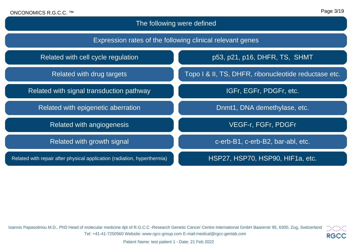# The following were defined

| Expression rates of the following clinical relevant genes                |                                                      |  |  |
|--------------------------------------------------------------------------|------------------------------------------------------|--|--|
| Related with cell cycle regulation                                       | p53, p21, p16, DHFR, TS, SHMT                        |  |  |
| Related with drug targets                                                | Topo I & II, TS, DHFR, ribonucleotide reductase etc. |  |  |
| Related with signal transduction pathway                                 | IGFr, EGFr, PDGFr, etc.                              |  |  |
| Related with epigenetic aberration                                       | Dnmt1, DNA demethylase, etc.                         |  |  |
| Related with angiogenesis                                                | VEGF-r, FGFr, PDGFr                                  |  |  |
| Related with growth signal                                               | c-erb-B1, c-erb-B2, bar-abl, etc.                    |  |  |
| Related with repair after physical application (radiation, hyperthermia) | HSP27, HSP70, HSP90, HIF1a, etc.                     |  |  |

Ioannis Papasotiriou M.D., PhD Head of molecular medicine dpt of R.G.C.C -Research Genetic Cancer Centre International GmbH Baarerstr 95, 6300, Zug, Switzerland Tel: +41-41-7250560 Website: www.rgcc-group.com E-mail:medical@rgcc-genlab.com

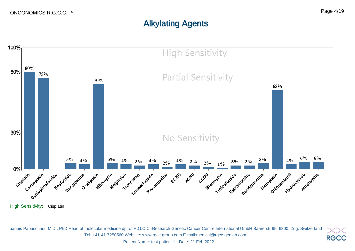# Alkylating Agents



Ioannis Papasotiriou M.D., PhD Head of molecular medicine dpt of R.G.C.C -Research Genetic Cancer Centre International GmbH Baarerstr 95, 6300, Zug, Switzerland 23. PO Tel: +41-41-7250560 Website: www.rgcc-group.com E-mail:medical@rgcc-genlab.com **RGCC**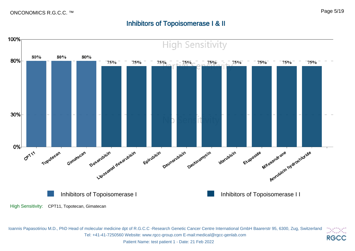#### Page 5/19

# Inhibitors of Topoisomerase I & II



Ioannis Papasotiriou M.D., PhD Head of molecular medicine dpt of R.G.C.C -Research Genetic Cancer Centre International GmbH Baarerstr 95, 6300, Zug, Switzerland DADA ( Tel: +41-41-7250560 Website: www.rgcc-group.com E-mail:medical@rgcc-genlab.com **RGCC**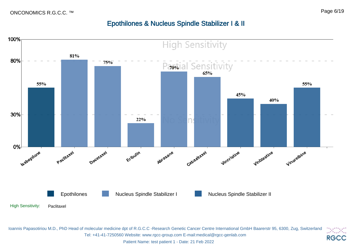#### Page 6/19

# Epothilones & Nucleus Spindle Stabilizer I & II

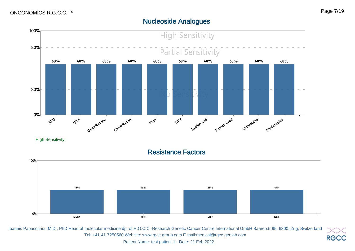#### Nucleoside Analogues



Ioannis Papasotiriou M.D., PhD Head of molecular medicine dpt of R.G.C.C -Research Genetic Cancer Centre International GmbH Baarerstr 95, 6300, Zug, Switzerland <u>ieiei</u> Tel: +41-41-7250560 Website: www.rgcc-group.com E-mail:medical@rgcc-genlab.com **RGCC**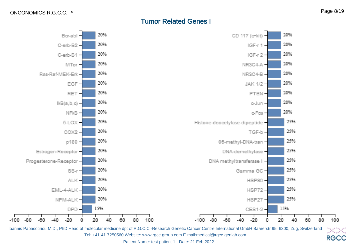## Tumor Related Genes I



Ioannis Papasotiriou M.D., PhD Head of molecular medicine dpt of R.G.C.C -Research Genetic Cancer Centre International GmbH Baarerstr 95, 6300, Zug, Switzerland Danan Tel: +41-41-7250560 Website: www.rgcc-group.com E-mail:medical@rgcc-genlab.com **RGCC**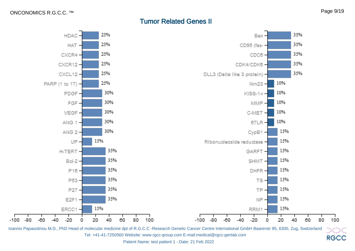$-100 -$ 

## Tumor Related Genes II



Ioannis Papasotiriou M.D., PhD Head of molecular medicine dpt of R.G.C.C -Research Genetic Cancer Centre International GmbH Baarerstr 95, 6300, Zug, Switzerland Danan Tel: +41-41-7250560 Website: www.rgcc-group.com E-mail:medical@rgcc-genlab.com **RGCC**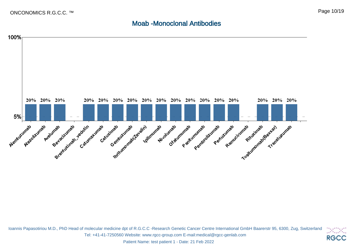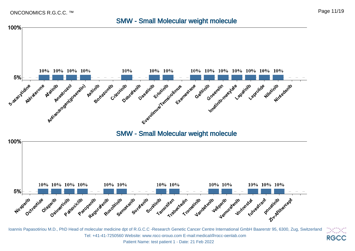#### SMW - Small Molecular weight molecule



Patient Name: test patient 1 - Date: 21 Feb 2022

DA DA **RGCC**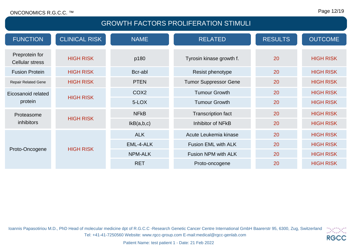#### Page 12/19

# GROWTH FACTORS PROLIFERATION STIMULI

| <b>FUNCTION</b>                    | <b>CLINICAL RISK</b> | <b>NAME</b>          | <b>RELATED</b>               | <b>RESULTS</b>   | <b>OUTCOME</b>   |
|------------------------------------|----------------------|----------------------|------------------------------|------------------|------------------|
| Preprotein for<br>Cellular stress  | <b>HIGH RISK</b>     | p180                 | Tyrosin kinase growth f.     | 20               | <b>HIGH RISK</b> |
| <b>Fusion Protein</b>              | <b>HIGH RISK</b>     | Bcr-abl              | Resist phenotype             | 20               | <b>HIGH RISK</b> |
| <b>Repair Related Gene</b>         | <b>HIGH RISK</b>     | <b>PTEN</b>          | <b>Tumor Suppressor Gene</b> | 20               | <b>HIGH RISK</b> |
| Eicosanoid related                 |                      | COX <sub>2</sub>     | <b>Tumour Growth</b>         | 20               | <b>HIGH RISK</b> |
| <b>HIGH RISK</b><br>protein        | 5-LOX                | <b>Tumour Growth</b> | 20                           | <b>HIGH RISK</b> |                  |
| Proteasome                         |                      | <b>NFKB</b>          | <b>Transcription fact</b>    | 20               | <b>HIGH RISK</b> |
| <b>HIGH RISK</b><br>inhibitors     | IKB(a,b,c)           | Inhibitor of NFkB    | 20                           | <b>HIGH RISK</b> |                  |
| <b>HIGH RISK</b><br>Proto-Oncogene |                      | <b>ALK</b>           | Acute Leukemia kinase        | 20               | <b>HIGH RISK</b> |
|                                    |                      | EML-4-ALK            | Fusion EML with ALK          | 20               | <b>HIGH RISK</b> |
|                                    |                      | <b>NPM-ALK</b>       | Fusion NPM with ALK          | 20               | <b>HIGH RISK</b> |
|                                    |                      | <b>RET</b>           | Proto-oncogene               | 20               | <b>HIGH RISK</b> |

Ioannis Papasotiriou M.D., PhD Head of molecular medicine dpt of R.G.C.C -Research Genetic Cancer Centre International GmbH Baarerstr 95, 6300, Zug, Switzerland  $13\,13\,14$ Tel: +41-41-7250560 Website: www.rgcc-group.com E-mail:medical@rgcc-genlab.com **RGCC**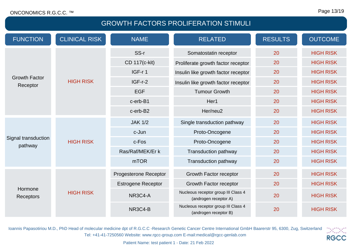# GROWTH FACTORS PROLIFERATION STIMULI

| <b>FUNCTION</b>                  | <b>CLINICAL RISK</b> | <b>NAME</b>               | <b>RELATED</b>                                               | <b>RESULTS</b> | <b>OUTCOME</b>   |
|----------------------------------|----------------------|---------------------------|--------------------------------------------------------------|----------------|------------------|
|                                  |                      | SS-r                      | Somatostatin receptor                                        | 20             | <b>HIGH RISK</b> |
|                                  |                      | CD 117(c-kit)             | Proliferate growth factor receptor                           | 20             | <b>HIGH RISK</b> |
|                                  |                      | IGF-r1                    | Insulin like growth factor receptor                          | 20             | <b>HIGH RISK</b> |
| <b>Growth Factor</b><br>Receptor | <b>HIGH RISK</b>     | $IGF-r-2$                 | Insulin like growth factor receptor                          | 20             | <b>HIGH RISK</b> |
|                                  |                      | <b>EGF</b>                | <b>Tumour Growth</b>                                         | 20             | <b>HIGH RISK</b> |
|                                  |                      | c-erb-B1                  | Her1                                                         | 20             | <b>HIGH RISK</b> |
|                                  |                      | c-erb-B2                  | Her/neu2                                                     | 20             | <b>HIGH RISK</b> |
| Signal transduction<br>pathway   | <b>HIGH RISK</b>     | <b>JAK 1/2</b>            | Single transduction pathway                                  | 20             | <b>HIGH RISK</b> |
|                                  |                      | c-Jun                     | Proto-Oncogene                                               | 20             | <b>HIGH RISK</b> |
|                                  |                      | c-Fos                     | Proto-Oncogene                                               | 20             | <b>HIGH RISK</b> |
|                                  |                      | Ras/Raf/MEK/Er k          | <b>Transduction pathway</b>                                  | 20             | <b>HIGH RISK</b> |
|                                  |                      | <b>mTOR</b>               | <b>Transduction pathway</b>                                  | 20             | <b>HIGH RISK</b> |
|                                  | <b>HIGH RISK</b>     | Progesterone Receptor     | Growth Factor receptor                                       | 20             | <b>HIGH RISK</b> |
| Hormone<br><b>Receptors</b>      |                      | <b>Estrogene Receptor</b> | Growth Factor receptor                                       | 20             | <b>HIGH RISK</b> |
|                                  |                      | NR3C4-A                   | Nucleous receptor group III Class 4<br>(androgen receptor A) | 20             | <b>HIGH RISK</b> |
|                                  |                      | NR3C4-B                   | Nucleous receptor group III Class 4<br>(androgen receptor B) | 20             | <b>HIGH RISK</b> |

Ioannis Papasotiriou M.D., PhD Head of molecular medicine dpt of R.G.C.C -Research Genetic Cancer Centre International GmbH Baarerstr 95, 6300, Zug, Switzerland  $13\,13\,14$ Tel: +41-41-7250560 Website: www.rgcc-group.com E-mail:medical@rgcc-genlab.com **RGCC**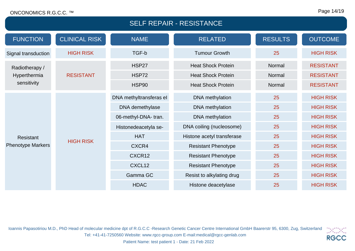#### SELF REPAIR - RESISTANCE FUNCTION CLINICAL RISK NAME NAME RELATED RESULTS OUTCOME Signal transduction HIGH RISK TGF-b Tumour Growth 25 HIGH RISK Radiotherapy / Hyperthermia sensitivity RESISTANT HSP27 Heat Shock Protein Normal RESISTANT HSP72 Heat Shock Protein Normal RESISTANT HSP90 Heat Shock Protein Normal RESISTANT Resistant Phenotype Markers HIGH RISK DNA methyltransferas eI DNA methylation 25 HIGH RISK DNA demethylase DNA methylation 25 HIGH RISK 06-methyl-DNA- tran. DNA methylation 25 HIGH RISK Histonedeacetyla se- DNA coiling (nucleosome) 25 HIGH RISK HAT Histone acetyl transferase 25 HIGH RISK CXCR4 Resistant Phenotype 25 HIGH RISK CXCR12 Resistant Phenotype 25 HIGH RISK CXCL12 Resistant Phenotype 25 HIGH RISK Gamma GC Resist to alkylating drug 25 HIGH RISK HDAC Histone deacetylase 25 HIGH RISK

Ioannis Papasotiriou M.D., PhD Head of molecular medicine dpt of R.G.C.C -Research Genetic Cancer Centre International GmbH Baarerstr 95, 6300, Zug, Switzerland ixix Tel: +41-41-7250560 Website: www.rgcc-group.com E-mail:medical@rgcc-genlab.com **RGCC**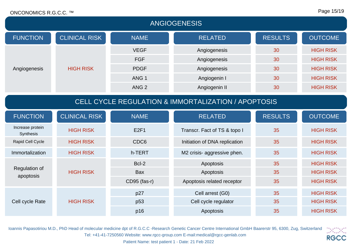| <b>ANGIOGENESIS</b>                                 |                      |                  |                               |                |                  |
|-----------------------------------------------------|----------------------|------------------|-------------------------------|----------------|------------------|
| <b>FUNCTION</b>                                     | <b>CLINICAL RISK</b> | <b>NAME</b>      | <b>RELATED</b>                | <b>RESULTS</b> | <b>OUTCOME</b>   |
|                                                     |                      | <b>VEGF</b>      | Angiogenesis                  | 30             | <b>HIGH RISK</b> |
|                                                     |                      | <b>FGF</b>       | Angiogenesis                  | 30             | <b>HIGH RISK</b> |
| Angiogenesis                                        | <b>HIGH RISK</b>     | <b>PDGF</b>      | Angiogenesis                  | 30             | <b>HIGH RISK</b> |
|                                                     |                      | ANG <sub>1</sub> | Angiogenin I                  | 30             | <b>HIGH RISK</b> |
|                                                     |                      | ANG <sub>2</sub> | Angiogenin II                 | 30             | <b>HIGH RISK</b> |
| CELL CYCLE REGULATION & IMMORTALIZATION / APOPTOSIS |                      |                  |                               |                |                  |
| <b>FUNCTION</b>                                     | <b>CLINICAL RISK</b> | <b>NAME</b>      | <b>RELATED</b>                | <b>RESULTS</b> | <b>OUTCOME</b>   |
| Increase protein<br>Synthesis                       | <b>HIGH RISK</b>     | E2F1             | Transcr. Fact of TS & topo I  | 35             | <b>HIGH RISK</b> |
| Rapid Cell Cycle                                    | <b>HIGH RISK</b>     | CDC6             | Initiation of DNA replication | 35             | <b>HIGH RISK</b> |
| Immortalization                                     | <b>HIGH RISK</b>     | h-TERT           | M2 crisis- aggressive phen.   | 35             | <b>HIGH RISK</b> |
|                                                     |                      | Bcl-2            | Apoptosis                     | 35             | <b>HIGH RISK</b> |
| Regulation of<br>apoptosis                          | <b>HIGH RISK</b>     | <b>Bax</b>       | Apoptosis                     | 35             | <b>HIGH RISK</b> |
|                                                     |                      | CD95 (fas-r)     | Apoptosis related receptor    | 35             | <b>HIGH RISK</b> |
|                                                     | <b>HIGH RISK</b>     | p27              | Cell arrest (G0)              | 35             | <b>HIGH RISK</b> |
| Cell cycle Rate                                     |                      | p <sub>53</sub>  | Cell cycle regulator          | 35             | <b>HIGH RISK</b> |
|                                                     |                      | p16              | Apoptosis                     | 35             | <b>HIGH RISK</b> |

Ioannis Papasotiriou M.D., PhD Head of molecular medicine dpt of R.G.C.C -Research Genetic Cancer Centre International GmbH Baarerstr 95, 6300, Zug, Switzerland Tel: +41-41-7250560 Website: www.rgcc-group.com E-mail:medical@rgcc-genlab.com

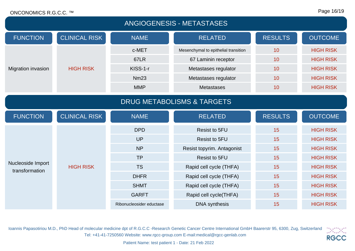| <b>ANGIOGENESIS - METASTASES</b>      |                      |                          |                                      |                |                  |  |
|---------------------------------------|----------------------|--------------------------|--------------------------------------|----------------|------------------|--|
| <b>FUNCTION</b>                       | <b>CLINICAL RISK</b> | <b>NAME</b>              | <b>RELATED</b>                       | <b>RESULTS</b> | <b>OUTCOME</b>   |  |
|                                       |                      | c-MET                    | Mesenchymal to epithelial transition | 10             | <b>HIGH RISK</b> |  |
|                                       |                      | <b>67LR</b>              | 67 Laminin receptor                  | 10             | <b>HIGH RISK</b> |  |
| Migration invasion                    | <b>HIGH RISK</b>     | KISS-1-r                 | Metastases regulator                 | 10             | <b>HIGH RISK</b> |  |
|                                       |                      | <b>Nm23</b>              | Metastases regulator                 | 10             | <b>HIGH RISK</b> |  |
|                                       |                      | <b>MMP</b>               | <b>Metastases</b>                    | 10             | <b>HIGH RISK</b> |  |
| <b>DRUG METABOLISMS &amp; TARGETS</b> |                      |                          |                                      |                |                  |  |
| <b>FUNCTION</b>                       | <b>CLINICAL RISK</b> | <b>NAME</b>              | <b>RELATED</b>                       | <b>RESULTS</b> | <b>OUTCOME</b>   |  |
|                                       |                      | <b>DPD</b>               | Resist to 5FU                        | 15             | <b>HIGH RISK</b> |  |
|                                       |                      | <b>UP</b>                | <b>Resist to 5FU</b>                 | 15             | <b>HIGH RISK</b> |  |
|                                       |                      | <b>NP</b>                | Resist topyrim. Antagonist           | 15             | <b>HIGH RISK</b> |  |
|                                       | <b>HIGH RISK</b>     | <b>TP</b>                | <b>Resist to 5FU</b>                 | 15             | <b>HIGH RISK</b> |  |
| Nucleoside Import<br>transformation   |                      | <b>TS</b>                | Rapid cell cycle (THFA)              | 15             | <b>HIGH RISK</b> |  |
|                                       |                      | <b>DHFR</b>              | Rapid cell cycle (THFA)              | 15             | <b>HIGH RISK</b> |  |
|                                       |                      | <b>SHMT</b>              | Rapid cell cycle (THFA)              | 15             | <b>HIGH RISK</b> |  |
|                                       |                      | <b>GARFT</b>             | Rapid cell cycle(THFA)               | 15             | <b>HIGH RISK</b> |  |
|                                       |                      | Ribonucleosider eductase | <b>DNA</b> synthesis                 | 15             | <b>HIGH RISK</b> |  |

Ioannis Papasotiriou M.D., PhD Head of molecular medicine dpt of R.G.C.C -Research Genetic Cancer Centre International GmbH Baarerstr 95, 6300, Zug, Switzerland Tel: +41-41-7250560 Website: www.rgcc-group.com E-mail:medical@rgcc-genlab.com

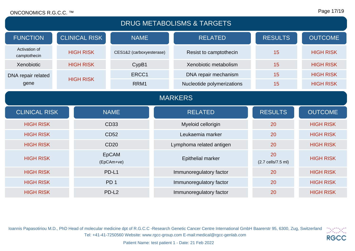| <b>DRUG METABOLISMS &amp; TARGETS</b> |  |                      |                            |  |                            |                                            |                  |
|---------------------------------------|--|----------------------|----------------------------|--|----------------------------|--------------------------------------------|------------------|
| <b>FUNCTION</b>                       |  | <b>CLINICAL RISK</b> | <b>NAME</b>                |  | <b>RELATED</b>             | <b>RESULTS</b>                             | <b>OUTCOME</b>   |
| Activation of<br>camptothecin         |  | <b>HIGH RISK</b>     | CES1&2 (carboxyesterase)   |  | Resist to camptothecin     | 15                                         | <b>HIGH RISK</b> |
| Xenobiotic                            |  | <b>HIGH RISK</b>     | CypB1                      |  | Xenobiotic metabolism      | 15                                         | <b>HIGH RISK</b> |
| DNA repair related                    |  |                      | ERCC1                      |  | DNA repair mechanism       | 15                                         | <b>HIGH RISK</b> |
| gene                                  |  | <b>HIGH RISK</b>     | RRM1                       |  | Nucleotide polymerizations | 15                                         | <b>HIGH RISK</b> |
| <b>MARKERS</b>                        |  |                      |                            |  |                            |                                            |                  |
|                                       |  |                      |                            |  |                            |                                            |                  |
| <b>CLINICAL RISK</b>                  |  |                      | <b>NAME</b>                |  | <b>RELATED</b>             | <b>RESULTS</b>                             | <b>OUTCOME</b>   |
| <b>HIGH RISK</b>                      |  |                      | CD33                       |  | Myeloid cellorigin         | 20                                         | <b>HIGH RISK</b> |
| <b>HIGH RISK</b>                      |  |                      | <b>CD52</b>                |  | Leukaemia marker           | 20                                         | <b>HIGH RISK</b> |
| <b>HIGH RISK</b>                      |  |                      | <b>CD20</b>                |  | Lymphoma related antigen   | 20                                         | <b>HIGH RISK</b> |
| <b>HIGH RISK</b>                      |  |                      | <b>EpCAM</b><br>(EpCAm+ve) |  | Epithelial marker          | 20<br>$(2.7 \text{ cells}/7.5 \text{ ml})$ | <b>HIGH RISK</b> |
| <b>HIGH RISK</b>                      |  |                      | PD-L1                      |  | Immunoregulatory factor    | 20                                         | <b>HIGH RISK</b> |
| <b>HIGH RISK</b>                      |  |                      | PD <sub>1</sub>            |  | Immunoregulatory factor    | 20                                         | <b>HIGH RISK</b> |

Ioannis Papasotiriou M.D., PhD Head of molecular medicine dpt of R.G.C.C -Research Genetic Cancer Centre International GmbH Baarerstr 95, 6300, Zug, Switzerland  $\mathcal{O}(\mathcal{O}_\alpha)$ Tel: +41-41-7250560 Website: www.rgcc-group.com E-mail:medical@rgcc-genlab.com **RGCC**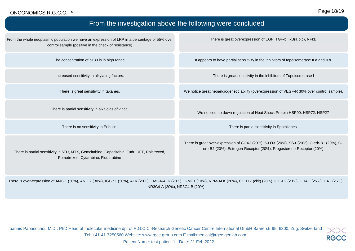#### Page 18/19

| From the investigation above the following were concluded                                                                                                                               |                                                                                                                                                                 |  |  |  |
|-----------------------------------------------------------------------------------------------------------------------------------------------------------------------------------------|-----------------------------------------------------------------------------------------------------------------------------------------------------------------|--|--|--|
| From the whole neoplasmic population we have an expression of LRP in a percentage of 55% over<br>control sample (positive in the check of resistance)                                   | There is great overexpression of EGF, TGF-b, IkB(a,b,c), NFkB                                                                                                   |  |  |  |
| The concentration of p180 is in high range.                                                                                                                                             | It appears to have partial sensitivity in the inhibitors of topoisomerase II a and II b.                                                                        |  |  |  |
| Increased sensitivity in alkylating factors.                                                                                                                                            | There is great sensitivity in the inhibitors of Topoisomerase I                                                                                                 |  |  |  |
| There is great sensitivity in taxanes.                                                                                                                                                  | We notice great neoangiogenetic ability (overexpression of VEGF-R 30% over control sample).                                                                     |  |  |  |
| There is partial sensitivity in alkaloids of vinca.                                                                                                                                     | We noticed no down-regulation of Heat Shock Protein HSP90, HSP72, HSP27                                                                                         |  |  |  |
| There is no sensitivity in Eribulin.                                                                                                                                                    | There is partial sensitivity in Epothilones.                                                                                                                    |  |  |  |
| There is partial sensitivity in 5FU, MTX, Gemcitabine, Capecitabin, Fudr, UFT, Raltitrexed,<br>Pemetrexed, Cytarabine, Fludarabine                                                      | There is great over-expression of COX2 (20%), 5-LOX (20%), SS-r (20%), C-erb-B1 (20%), C-<br>erb-B2 (20%), Estrogen-Receptor (20%), Progesterone-Receptor (20%) |  |  |  |
| There is over-expression of ANG 1 (30%), ANG 2 (30%), IGF-r 1 (20%), ALK (20%), EML-4-ALK (20%), C-MET (10%), NPM-ALK (20%), CD 117 (ckit) (20%), IGF-r 2 (20%), HDAC (25%), HAT (25%), |                                                                                                                                                                 |  |  |  |

NR3C4-A (20%), NR3C4-B (20%)

Ioannis Papasotiriou M.D., PhD Head of molecular medicine dpt of R.G.C.C -Research Genetic Cancer Centre International GmbH Baarerstr 95, 6300, Zug, Switzerland Tel: +41-41-7250560 Website: www.rgcc-group.com E-mail:medical@rgcc-genlab.com